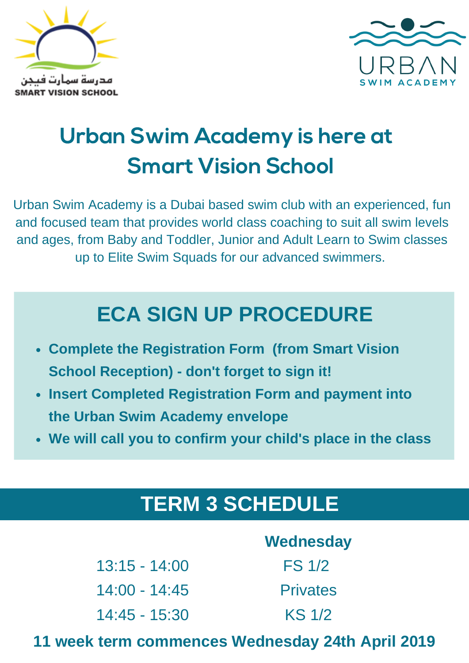



# Urban Swim Academy is here at Smart Vision School

Urban Swim Academy is a Dubai based swim club with an experienced, fun and focused team that provides world class coaching to suit all swim levels and ages, from Baby and Toddler, Junior and Adult Learn to Swim classes up to Elite Swim Squads for our advanced swimmers.

## **ECA SIGN UP PROCEDURE**

- **Complete the Registration Form (from Smart Vision School Reception) - don't forget to sign it!**
- **Insert Completed Registration Form and payment into the Urban Swim Academy envelope**
- **We will call you to confirm your child's place in the class**

### **TERM 3 SCHEDULE**

|                 | Wednesday       |
|-----------------|-----------------|
| $13:15 - 14:00$ | <b>FS 1/2</b>   |
| $14:00 - 14:45$ | <b>Privates</b> |
| $14:45 - 15:30$ | KS 1/2          |

#### **11 week term commences Wednesday 24th April 2019**